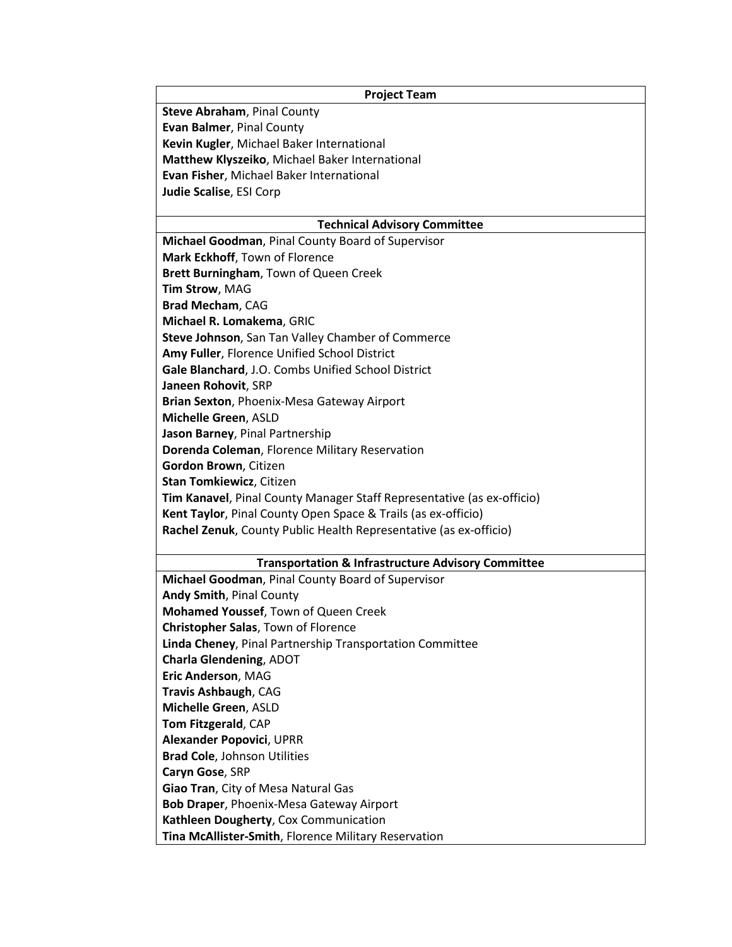| <b>Project Team</b>                                                    |
|------------------------------------------------------------------------|
| <b>Steve Abraham, Pinal County</b>                                     |
| Evan Balmer, Pinal County                                              |
| Kevin Kugler, Michael Baker International                              |
| Matthew Klyszeiko, Michael Baker International                         |
| Evan Fisher, Michael Baker International                               |
| Judie Scalise, ESI Corp                                                |
|                                                                        |
| <b>Technical Advisory Committee</b>                                    |
| Michael Goodman, Pinal County Board of Supervisor                      |
| Mark Eckhoff, Town of Florence                                         |
| Brett Burningham, Town of Queen Creek                                  |
| Tim Strow, MAG                                                         |
| Brad Mecham, CAG                                                       |
| Michael R. Lomakema, GRIC                                              |
| Steve Johnson, San Tan Valley Chamber of Commerce                      |
| Amy Fuller, Florence Unified School District                           |
| Gale Blanchard, J.O. Combs Unified School District                     |
| Janeen Rohovit, SRP                                                    |
| Brian Sexton, Phoenix-Mesa Gateway Airport                             |
| Michelle Green, ASLD                                                   |
| Jason Barney, Pinal Partnership                                        |
| Dorenda Coleman, Florence Military Reservation                         |
| Gordon Brown, Citizen                                                  |
| <b>Stan Tomkiewicz, Citizen</b>                                        |
| Tim Kanavel, Pinal County Manager Staff Representative (as ex-officio) |
| Kent Taylor, Pinal County Open Space & Trails (as ex-officio)          |
| Rachel Zenuk, County Public Health Representative (as ex-officio)      |
|                                                                        |
| <b>Transportation &amp; Infrastructure Advisory Committee</b>          |
| Michael Goodman, Pinal County Board of Supervisor                      |
| Andy Smith, Pinal County                                               |
| Mohamed Youssef, Town of Queen Creek                                   |
| Christopher Salas, Town of Florence                                    |
| Linda Cheney, Pinal Partnership Transportation Committee               |
| <b>Charla Glendening, ADOT</b>                                         |
| Eric Anderson, MAG                                                     |
| Travis Ashbaugh, CAG                                                   |
| Michelle Green, ASLD                                                   |
| Tom Fitzgerald, CAP                                                    |
| <b>Alexander Popovici, UPRR</b>                                        |
| <b>Brad Cole, Johnson Utilities</b>                                    |
| Caryn Gose, SRP                                                        |
| Giao Tran, City of Mesa Natural Gas                                    |
| <b>Bob Draper, Phoenix-Mesa Gateway Airport</b>                        |
| Kathleen Dougherty, Cox Communication                                  |
| Tina McAllister-Smith, Florence Military Reservation                   |